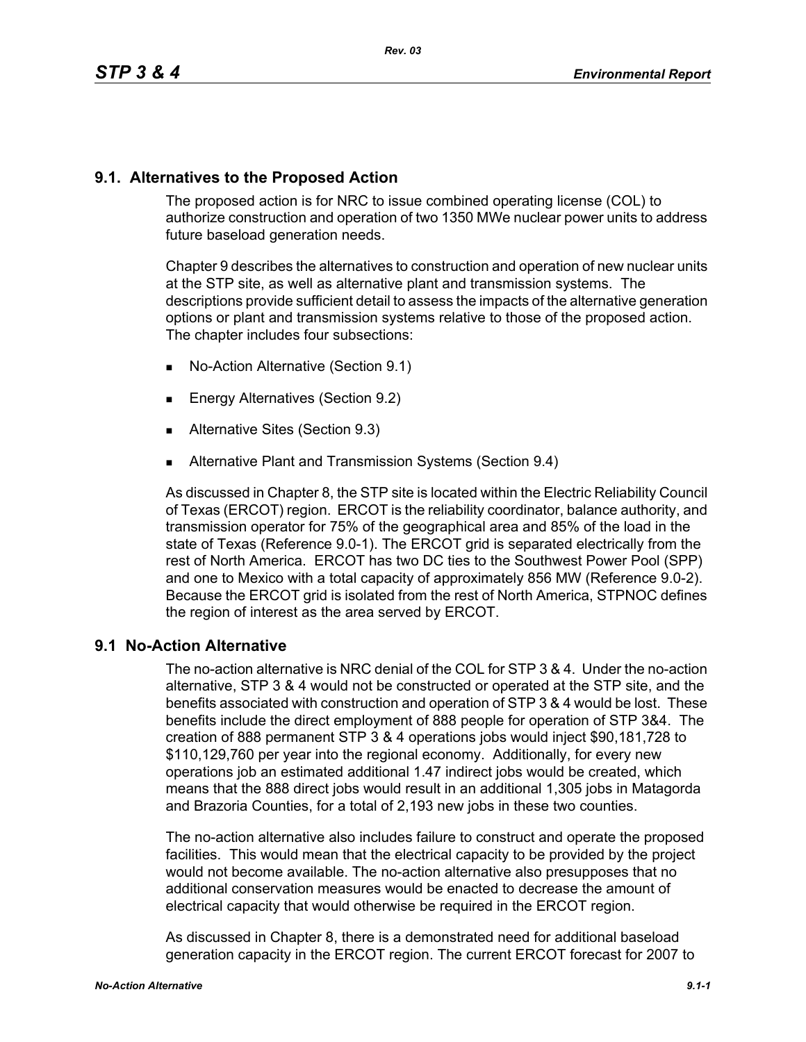## **9.1. Alternatives to the Proposed Action**

The proposed action is for NRC to issue combined operating license (COL) to authorize construction and operation of two 1350 MWe nuclear power units to address future baseload generation needs.

Chapter 9 describes the alternatives to construction and operation of new nuclear units at the STP site, as well as alternative plant and transmission systems. The descriptions provide sufficient detail to assess the impacts of the alternative generation options or plant and transmission systems relative to those of the proposed action. The chapter includes four subsections:

- No-Action Alternative (Section 9.1)
- **Energy Alternatives (Section 9.2)**
- **Alternative Sites (Section 9.3)**
- **Alternative Plant and Transmission Systems (Section 9.4)**

As discussed in Chapter 8, the STP site is located within the Electric Reliability Council of Texas (ERCOT) region. ERCOT is the reliability coordinator, balance authority, and transmission operator for 75% of the geographical area and 85% of the load in the state of Texas (Reference 9.0-1). The ERCOT grid is separated electrically from the rest of North America. ERCOT has two DC ties to the Southwest Power Pool (SPP) and one to Mexico with a total capacity of approximately 856 MW (Reference 9.0-2). Because the ERCOT grid is isolated from the rest of North America, STPNOC defines the region of interest as the area served by ERCOT.

## **9.1 No-Action Alternative**

The no-action alternative is NRC denial of the COL for STP 3 & 4. Under the no-action alternative, STP 3 & 4 would not be constructed or operated at the STP site, and the benefits associated with construction and operation of STP 3 & 4 would be lost. These benefits include the direct employment of 888 people for operation of STP 3&4. The creation of 888 permanent STP 3 & 4 operations jobs would inject \$90,181,728 to \$110,129,760 per year into the regional economy. Additionally, for every new operations job an estimated additional 1.47 indirect jobs would be created, which means that the 888 direct jobs would result in an additional 1,305 jobs in Matagorda and Brazoria Counties, for a total of 2,193 new jobs in these two counties.

The no-action alternative also includes failure to construct and operate the proposed facilities. This would mean that the electrical capacity to be provided by the project would not become available. The no-action alternative also presupposes that no additional conservation measures would be enacted to decrease the amount of electrical capacity that would otherwise be required in the ERCOT region.

As discussed in Chapter 8, there is a demonstrated need for additional baseload generation capacity in the ERCOT region. The current ERCOT forecast for 2007 to